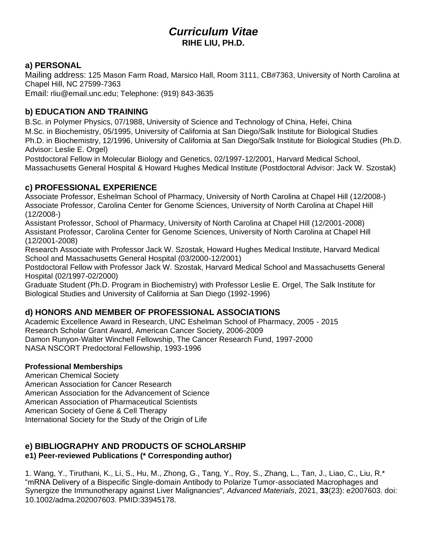## *Curriculum Vitae* **RIHE LIU, PH.D.**

## **a) PERSONAL**

Mailing address: 125 Mason Farm Road, Marsico Hall, Room 3111, CB#7363, University of North Carolina at Chapel Hill, NC 27599-7363

Email: rliu@email.unc.edu; Telephone: (919) 843-3635

## **b) EDUCATION AND TRAINING**

B.Sc. in Polymer Physics, 07/1988, University of Science and Technology of China, Hefei, China M.Sc. in Biochemistry, 05/1995, University of California at San Diego/Salk Institute for Biological Studies Ph.D. in Biochemistry, 12/1996, University of California at San Diego/Salk Institute for Biological Studies (Ph.D. Advisor: Leslie E. Orgel)

Postdoctoral Fellow in Molecular Biology and Genetics, 02/1997-12/2001, Harvard Medical School, Massachusetts General Hospital & Howard Hughes Medical Institute (Postdoctoral Advisor: Jack W. Szostak)

## **c) PROFESSIONAL EXPERIENCE**

Associate Professor, Eshelman School of Pharmacy, University of North Carolina at Chapel Hill (12/2008-) Associate Professor, Carolina Center for Genome Sciences, University of North Carolina at Chapel Hill (12/2008-)

Assistant Professor, School of Pharmacy, University of North Carolina at Chapel Hill (12/2001-2008) Assistant Professor, Carolina Center for Genome Sciences, University of North Carolina at Chapel Hill (12/2001-2008)

Research Associate with Professor Jack W. Szostak, Howard Hughes Medical Institute, Harvard Medical School and Massachusetts General Hospital (03/2000-12/2001)

Postdoctoral Fellow with Professor Jack W. Szostak, Harvard Medical School and Massachusetts General Hospital (02/1997-02/2000)

Graduate Student (Ph.D. Program in Biochemistry) with Professor Leslie E. Orgel, The Salk Institute for Biological Studies and University of California at San Diego (1992-1996)

## **d) HONORS AND MEMBER OF PROFESSIONAL ASSOCIATIONS**

Academic Excellence Award in Research, UNC Eshelman School of Pharmacy, 2005 - 2015 Research Scholar Grant Award, American Cancer Society, 2006-2009 Damon Runyon-Walter Winchell Fellowship, The Cancer Research Fund, 1997-2000 NASA NSCORT Predoctoral Fellowship, 1993-1996

## **Professional Memberships**

American Chemical Society American Association for Cancer Research American Association for the Advancement of Science American Association of Pharmaceutical Scientists American Society of Gene & Cell Therapy International Society for the Study of the Origin of Life

# **e) BIBLIOGRAPHY AND PRODUCTS OF SCHOLARSHIP**

## **e1) Peer-reviewed Publications (\* Corresponding author)**

1. Wang, Y., Tiruthani, K., Li, S., Hu, M., Zhong, G., Tang, Y., Roy, S., Zhang, L., Tan, J., Liao, C., Liu, R.\* "mRNA Delivery of a Bispecific Single-domain Antibody to Polarize Tumor-associated Macrophages and Synergize the Immunotherapy against Liver Malignancies", *Advanced Materials*, 2021, **33**(23): e2007603. doi: 10.1002/adma.202007603. PMID:33945178.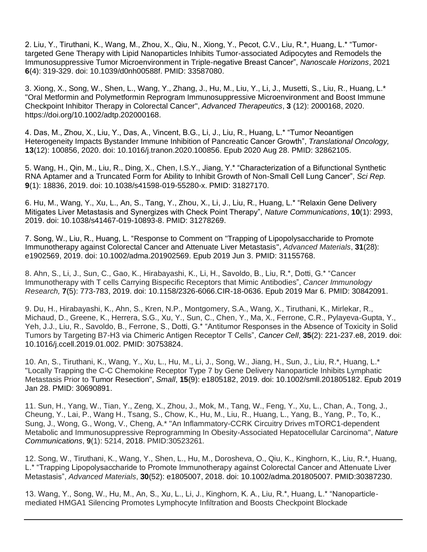2. Liu, Y., Tiruthani, K., Wang, M., Zhou, X., Qiu, N., Xiong, Y., Pecot, C.V., Liu, R.\*, Huang, L.\* "Tumortargeted Gene Therapy with Lipid Nanoparticles Inhibits Tumor-associated Adipocytes and Remodels the Immunosuppressive Tumor Microenvironment in Triple-negative Breast Cancer", *Nanoscale Horizons*, 2021 **6**(4): 319-329. doi: 10.1039/d0nh00588f. PMID: 33587080.

3. Xiong, X., Song, W., Shen, L., Wang, Y., Zhang, J., Hu, M., Liu, Y., Li, J., Musetti, S., Liu, R., Huang, L.\* "Oral Metformin and Polymetformin Reprogram Immunosuppressive Microenvironment and Boost Immune Checkpoint Inhibitor Therapy in Colorectal Cancer", *Advanced Therapeutics*, **3** (12): 2000168, 2020. https://doi.org/10.1002/adtp.202000168.

4. Das, M., Zhou, X., Liu, Y., Das, A., Vincent, B.G., Li, J., Liu, R., Huang, L.\* "Tumor Neoantigen Heterogeneity Impacts Bystander Immune Inhibition of Pancreatic Cancer Growth", *Translational Oncology,* **13**(12): 100856, 2020. doi: 10.1016/j.tranon.2020.100856. Epub 2020 Aug 28. PMID: 32862105.

5. Wang, H., Qin, M., Liu, R., Ding, X., Chen, I.S.Y., Jiang, Y.\* "Characterization of a Bifunctional Synthetic RNA Aptamer and a Truncated Form for Ability to Inhibit Growth of Non-Small Cell Lung Cancer", *Sci Rep.*  **9**(1): 18836, 2019. doi: 10.1038/s41598-019-55280-x. PMID: 31827170.

6. Hu, M., Wang, Y., Xu, L., An, S., Tang, Y., Zhou, X., Li, J., Liu, R., Huang, L.\* "Relaxin Gene Delivery Mitigates Liver Metastasis and Synergizes with Check Point Therapy", *Nature Communications*, **10**(1): 2993, 2019. doi: 10.1038/s41467-019-10893-8. PMID: 31278269.

7. Song, W., Liu, R., Huang, L. "Response to Comment on "Trapping of Lipopolysaccharide to Promote Immunotherapy against Colorectal Cancer and Attenuate Liver Metastasis", *Advanced Materials*, **31**(28): e1902569, 2019. doi: 10.1002/adma.201902569. Epub 2019 Jun 3. PMID: 31155768.

8. Ahn, S., Li, J., Sun, C., Gao, K., Hirabayashi, K., Li, H., Savoldo, B., Liu, R.\*, Dotti, G.\* "Cancer Immunotherapy with T cells Carrying Bispecific Receptors that Mimic Antibodies", *Cancer Immunology Research,* **7**(5): 773-783, 2019. doi: 10.1158/2326-6066.CIR-18-0636. Epub 2019 Mar 6. PMID: 30842091.

9. Du, H., Hirabayashi, K., Ahn, S., Kren, N.P., Montgomery, S.A., Wang, X., Tiruthani, K., Mirlekar, R., Michaud, D., Greene, K., Herrera, S.G., Xu, Y., Sun, C., Chen, Y., Ma, X., Ferrone, C.R., Pylayeva-Gupta, Y., Yeh, J.J., Liu, R., Savoldo, B., Ferrone, S., Dotti, G.\* "Antitumor Responses in the Absence of Toxicity in Solid Tumors by Targeting B7-H3 via Chimeric Antigen Receptor T Cells", *Cancer Cell*, **35**(2): 221-237.e8, 2019. doi: 10.1016/j.ccell.2019.01.002. PMID: 30753824.

10. An, S., Tiruthani, K., Wang, Y., Xu, L., Hu, M., Li, J., Song, W., Jiang, H., Sun, J., Liu, R.\*, Huang, L.\* "Locally Trapping the C-C Chemokine Receptor Type 7 by Gene Delivery Nanoparticle Inhibits Lymphatic Metastasis Prior to Tumor Resection", *Small*, **15**(9): e1805182, 2019. doi: 10.1002/smll.201805182. Epub 2019 Jan 28. PMID: 30690891.

11. Sun, H., Yang, W., Tian, Y., Zeng, X., Zhou, J., Mok, M., Tang, W., Feng, Y., Xu, L., Chan, A., Tong, J., Cheung, Y., Lai, P., Wang H., Tsang, S., Chow, K., Hu, M., Liu, R., Huang, L., Yang, B., Yang, P., To, K., Sung, J., Wong, G., Wong, V., Cheng, A.\* "An Inflammatory-CCRK Circuitry Drives mTORC1-dependent Metabolic and Immunosuppressive Reprogramming In Obesity-Associated Hepatocellular Carcinoma", *Nature Communications*, **9**(1): 5214, 2018. PMID:30523261.

12. Song, W., Tiruthani, K., Wang, Y., Shen, L., Hu, M., Dorosheva, O., Qiu, K., Kinghorn, K., Liu, R.\*, Huang, L.\* "Trapping Lipopolysaccharide to Promote Immunotherapy against Colorectal Cancer and Attenuate Liver Metastasis", *Advanced Materials*, **30**(52): e1805007, 2018. doi: 10.1002/adma.201805007. PMID:30387230.

13. Wang, Y., Song, W., Hu, M., An, S., Xu, L., Li, J., Kinghorn, K. A., Liu, R.\*, Huang, L.\* "Nanoparticlemediated HMGA1 Silencing Promotes Lymphocyte Infiltration and Boosts Checkpoint Blockade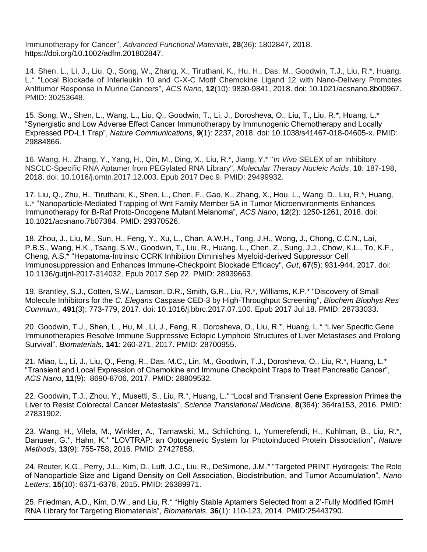Immunotherapy for Cancer", *Advanced Functional Materials*, **28**(36): 1802847, 2018. https://doi.org/10.1002/adfm.201802847.

14. Shen, L., Li, J., Liu, Q., Song, W., Zhang, X., Tiruthani, K., Hu, H., Das, M., Goodwin, T.J., Liu, R.\*, Huang, L.\* "Local Blockade of Interleukin 10 and C-X-C Motif Chemokine Ligand 12 with Nano-Delivery Promotes Antitumor Response in Murine Cancers", *ACS Nano*, **12**(10): 9830-9841, 2018. doi: 10.1021/acsnano.8b00967. PMID: 30253648.

15. Song, W., Shen, L., Wang, L., Liu, Q., Goodwin, T., Li, J., Dorosheva, O., Liu, T., Liu, R.\*, Huang, L.\* "Synergistic and Low Adverse Effect Cancer Immunotherapy by Immunogenic Chemotherapy and Locally Expressed PD-L1 Trap", *Nature Communications*, **9**(1): 2237, 2018. doi: 10.1038/s41467-018-04605-x. PMID: 29884866.

16. Wang, H., Zhang, Y., Yang, H., Qin, M., Ding, X., Liu, R.\*, Jiang, Y.\* "*In Vivo* SELEX of an Inhibitory NSCLC-Specific RNA Aptamer from PEGylated RNA Library", *Molecular Therapy Nucleic Acids*, **10**: 187-198, 2018. doi: 10.1016/j.omtn.2017.12.003. Epub 2017 Dec 9. PMID: 29499932.

17. Liu, Q., Zhu, H., Tiruthani, K., Shen, L., Chen, F., Gao, K., Zhang, X., Hou, L., Wang, D., Liu, R.\*, Huang, L.\* "Nanoparticle-Mediated Trapping of Wnt Family Member 5A in Tumor Microenvironments Enhances Immunotherapy for B-Raf Proto-Oncogene Mutant Melanoma", *ACS Nano*, **12**(2): 1250-1261, 2018. doi: 10.1021/acsnano.7b07384. PMID: 29370526.

18. Zhou, J., Liu, M., Sun, H., Feng, Y., Xu, L., Chan, A.W.H., Tong, J.H., Wong, J., Chong, C.C.N., Lai, P.B.S., Wang, H.K., Tsang, S.W., Goodwin, T., Liu, R., Huang, L., Chen, Z., Sung, J.J., Chow, K.L., To, K.F., Cheng, A.S.\* "Hepatoma-Intrinsic CCRK Inhibition Diminishes Myeloid-derived Suppressor Cell Immunosuppression and Enhances Immune-Checkpoint Blockade Efficacy", *Gut*, **67**(5): 931-944, 2017. doi: 10.1136/gutjnl-2017-314032. Epub 2017 Sep 22. PMID: 28939663.

19. Brantley, S.J., Cotten, S.W., Lamson, D.R., Smith, G.R., Liu, R.\*, Williams, K.P.\* "Discovery of Small Molecule Inhibitors for the *C. Elegans* Caspase CED-3 by High-Throughput Screening", *Biochem Biophys Res Commun.,* **491**(3): 773-779, 2017. doi: 10.1016/j.bbrc.2017.07.100. Epub 2017 Jul 18. PMID: 28733033.

20. Goodwin, T.J., Shen, L., Hu, M., Li, J., Feng, R., Dorosheva, O., Liu, R.\*, Huang, L.\* "Liver Specific Gene Immunotherapies Resolve Immune Suppressive Ectopic Lymphoid Structures of Liver Metastases and Prolong Survival", *Biomaterials*, **141**: 260-271, 2017. PMID: 28700955.

21. Miao, L., Li, J., Liu, Q., Feng, R., Das, M.C., Lin, M., Goodwin, T.J., Dorosheva, O., Liu, R.\*, Huang, L.\* "Transient and Local Expression of Chemokine and Immune Checkpoint Traps to Treat Pancreatic Cancer", *ACS Nano*, **11**(9): 8690-8706, 2017. PMID: 28809532.

22. Goodwin, T.J., Zhou, Y., Musetti, S., Liu, R.\*, Huang, L.\* "Local and Transient Gene Expression Primes the Liver to Resist Colorectal Cancer Metastasis", *Science Translational Medicine*, **8**(364): 364ra153, 2016. PMID: 27831902.

23. Wang, H., Vilela, M., Winkler, A., Tarnawski, M.**,** Schlichting, I., Yumerefendi, H., Kuhlman, B., Liu, R.\*, Danuser, G.\*, Hahn, K.\* "LOVTRAP: an Optogenetic System for Photoinduced Protein Dissociation", *Nature Methods*, **13**(9): 755-758, 2016. PMID: 27427858.

24. Reuter, K.G., Perry, J.L., Kim, D., Luft, J.C., Liu, R., DeSimone, J.M.\* ["Targeted PRINT Hydrogels: The Role](http://www.ncbi.nlm.nih.gov/pubmed/26389971)  [of Nanoparticle Size and Ligand Density on Cell Association, Biodistribution, and Tumor Accumulation",](http://www.ncbi.nlm.nih.gov/pubmed/26389971) *Nano Letters*, **15**(10): 6371-6378, 2015. PMID: 26389971.

25. Friedman, A.D., Kim, D.W., and Liu, R.\* "Highly Stable Aptamers Selected from a 2'-Fully Modified fGmH RNA Library for Targeting Biomaterials", *Biomaterials*, **36**(1): 110-123, 2014. PMID:25443790.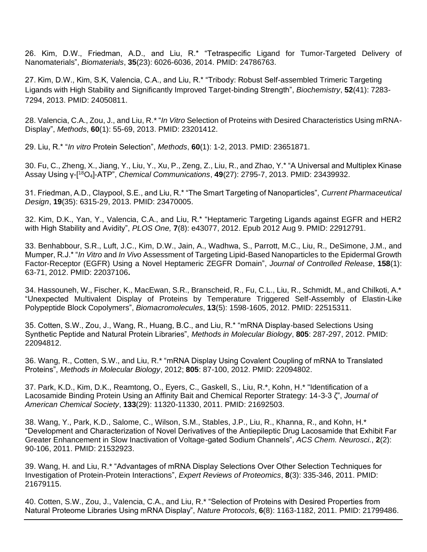26. Kim, D.W., Friedman, A.D., and Liu, R.\* "Tetraspecific Ligand for Tumor-Targeted Delivery of Nanomaterials", *Biomaterials*, **35**(23): 6026-6036, 2014. PMID: 24786763.

27. Kim, D.W., Kim, S.K, Valencia, C.A., and Liu, R.\* "Tribody: Robust Self-assembled Trimeric Targeting Ligands with High Stability and Significantly Improved Target-binding Strength", *Biochemistry*, **52**(41): 7283- 7294, 2013. PMID: 24050811.

28. Valencia, C.A., Zou, J., and Liu, R.\* "*In Vitro* [Selection of Proteins with Desired Characteristics Using mRNA-](http://www.ncbi.nlm.nih.gov/pubmed/23201412)[Display",](http://www.ncbi.nlm.nih.gov/pubmed/23201412) *Methods*, **60**(1): 55-69, 2013. PMID: 23201412.

29. Liu, R.\* "*In vitro* Protein Selection", *Methods*, **60**(1): 1-2, 2013. PMID: 23651871.

30. Fu, C., Zheng, X., Jiang, Y., Liu, Y., Xu, P., Zeng, Z., Liu, R., and Zhao, Y.\* "A Universal and Multiplex Kinase Assay Using γ-[ <sup>18</sup>O4]-ATP", *Chemical Communications*, **49**(27): 2795-7, 2013. PMID: 23439932.

31. Friedman, A.D., Claypool, S.E., and Liu, R.\* "The Smart Targeting of Nanoparticles", *Current Pharmaceutical Design*, **19**(35): 6315-29, 2013. PMID: 23470005.

32. Kim, D.K., Yan, Y., Valencia, C.A., and Liu, R.\* "Heptameric Targeting Ligands against EGFR and HER2 with High Stability and Avidity", *PLOS One,* **7**(8): e43077, 2012. Epub 2012 Aug 9. PMID: 22912791.

33. Benhabbour, S.R., Luft, J.C., Kim, D.W., Jain, A., Wadhwa, S., Parrott, M.C., Liu, R., DeSimone, J.M., and Mumper, R.J.\* "*In Vitro* and *In Vivo* Assessment of Targeting Lipid-Based Nanoparticles to the Epidermal Growth Factor-Receptor (EGFR) Using a Novel Heptameric ZEGFR Domain", *Journal of Controlled Release*, **158**(1): 63-71, 2012. PMID: 22037106**.**

34. Hassouneh, W., Fischer, K., MacEwan, S.R., Branscheid, R., Fu, C.L., Liu, R., Schmidt, M., and Chilkoti, A.\* "Unexpected Multivalent Display of Proteins by Temperature Triggered Self-Assembly of Elastin-Like Polypeptide Block Copolymers", *Biomacromolecules*, **13**(5): 1598-1605, 2012. PMID: 22515311.

35. Cotten, S.W., Zou, J., Wang, R., Huang, B.C., and Liu, R.\* "mRNA Display-based Selections Using Synthetic Peptide and Natural Protein Libraries", *Methods in Molecular Biology*, **805**: 287-297, 2012. PMID: 22094812.

36. Wang, R., Cotten, S.W., and Liu, R.\* "mRNA Display Using Covalent Coupling of mRNA to Translated Proteins", *Methods in Molecular Biology*, 2012; **805**: 87-100, 2012. PMID: 22094802.

37. Park, K.D., Kim, D.K., Reamtong, O., Eyers, C., Gaskell, S., Liu, R.\*, Kohn, H.\* "Identification of a Lacosamide Binding Protein Using an Affinity Bait and Chemical Reporter Strategy: 14-3-3 ζ", *Journal of American Chemical Society*, **133**(29): 11320-11330, 2011. PMID: 21692503.

38. Wang, Y., Park, K.D., Salome, C., Wilson, S.M., Stables, J.P., Liu, R., Khanna, R., and Kohn, H.\* "Development and Characterization of Novel Derivatives of the Antiepileptic Drug Lacosamide that Exhibit Far Greater Enhancement in Slow Inactivation of Voltage-gated Sodium Channels", *ACS Chem. Neurosci.*, **2**(2): 90-106, 2011. PMID: 21532923.

39. Wang, H. and Liu, R.\* "Advantages of mRNA Display Selections Over Other Selection Techniques for Investigation of Protein-Protein Interactions", *Expert Reviews of Proteomics*, **8**(3): 335-346, 2011. PMID: 21679115.

40. Cotten, S.W., Zou, J., Valencia, C.A., and Liu, R.\* "Selection of Proteins with Desired Properties from Natural Proteome Libraries Using mRNA Display", *Nature Protocols*, **6**(8): 1163-1182, 2011. PMID: 21799486.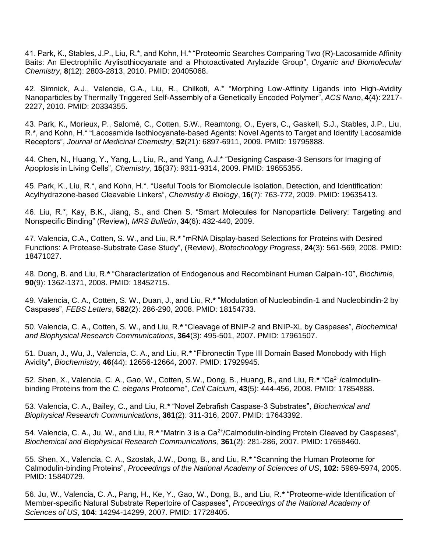41. Park, K., Stables, J.P., Liu, R.\*, and Kohn, H.\* "Proteomic Searches Comparing Two (R)-Lacosamide Affinity Baits: An Electrophilic Arylisothiocyanate and a Photoactivated Arylazide Group", *Organic and Biomolecular Chemistry*, **8**(12): 2803-2813, 2010. PMID: 20405068.

42. Simnick, A.J., Valencia, C.A., Liu, R., Chilkoti, A.\* "Morphing Low-Affinity Ligands into High-Avidity Nanoparticles by Thermally Triggered Self-Assembly of a Genetically Encoded Polymer", *ACS Nano*, **4**(4): 2217- 2227, 2010. PMID: 20334355.

43. Park, K., Morieux, P., Salomé, C., Cotten, S.W., Reamtong, O., Eyers, C., Gaskell, S.J., Stables, J.P., Liu, R.\*, and Kohn, H.\* "Lacosamide Isothiocyanate-based Agents: Novel Agents to Target and Identify Lacosamide Receptors", *Journal of Medicinal Chemistry*, **52**(21): 6897-6911, 2009. PMID: 19795888.

44. Chen, N., Huang, Y., Yang, L., Liu, R., and Yang, A.J.\* "Designing Caspase-3 Sensors for Imaging of Apoptosis in Living Cells", *Chemistry*, **15**(37): 9311-9314, 2009. PMID: 19655355.

45. Park, K., Liu, R.\*, and Kohn, H.\*. "Useful Tools for Biomolecule Isolation, Detection, and Identification: Acylhydrazone-based Cleavable Linkers", *Chemistry & Biology*, **16**(7): 763-772, 2009. PMID: 19635413.

46. Liu, R.\*, Kay, B.K., Jiang, S., and Chen S. "Smart Molecules for Nanoparticle Delivery: Targeting and Nonspecific Binding" (Review), *MRS Bulletin*, **34**(6): 432-440, 2009.

47. Valencia, C.A., Cotten, S. W., and Liu, R.**\*** "mRNA Display-based Selections for Proteins with Desired Functions: A Protease-Substrate Case Study", (Review), *Biotechnology Progress*, **24**(3): 561-569, 2008. PMID: 18471027.

48. Dong, B. and Liu, R.**\*** "Characterization of Endogenous and Recombinant Human Calpain-10", *Biochimie*, **90**(9): 1362-1371, 2008. PMID: 18452715.

49. Valencia, C. A., Cotten, S. W., Duan, J., and Liu, R.**\*** "Modulation of Nucleobindin-1 and Nucleobindin-2 by Caspases", *FEBS Letters*, **582**(2): 286-290, 2008. PMID: 18154733.

50. Valencia, C. A., Cotten, S. W., and Liu, R.**\*** "Cleavage of BNIP-2 and BNIP-XL by Caspases", *Biochemical and Biophysical Research Communications*, **364**(3): 495-501, 2007. PMID: 17961507.

51. Duan, J., Wu, J., Valencia, C. A., and Liu, R.**\*** "Fibronectin Type III Domain Based Monobody with High Avidity", *Biochemistry,* **46**(44): 12656-12664, 2007. PMID: 17929945.

52. Shen, X., Valencia, C. A., Gao, W., Cotten, S.W., Dong, B., Huang, B., and Liu, R.<sup>\*</sup> "Ca<sup>2+</sup>/calmodulinbinding Proteins from the *C. elegans* Proteome", *Cell Calcium,* **43**(5): 444-456, 2008. PMID: 17854888.

53. Valencia, C. A., Bailey, C., and Liu, R.**\*** "Novel Zebrafish Caspase-3 Substrates", *Biochemical and Biophysical Research Communications*, **361**(2): 311-316, 2007. PMID: 17643392.

54. Valencia, C. A., Ju, W., and Liu, R.<sup>\*</sup> "Matrin 3 is a Ca<sup>2+</sup>/Calmodulin-binding Protein Cleaved by Caspases", *Biochemical and Biophysical Research Communications*, **361**(2): 281-286, 2007. PMID: 17658460.

55. Shen, X., Valencia, C. A., Szostak, J.W., Dong, B., and Liu, R.**\*** "Scanning the Human Proteome for Calmodulin-binding Proteins", *Proceedings of the National Academy of Sciences of US*, **102:** 5969-5974, 2005. PMID: 15840729.

56. Ju, W., Valencia, C. A., Pang, H., Ke, Y., Gao, W., Dong, B., and Liu, R.**\*** "Proteome-wide Identification of Member-specific Natural Substrate Repertoire of Caspases", *Proceedings of the National Academy of Sciences of US*, **104**: 14294-14299, 2007. PMID: 17728405.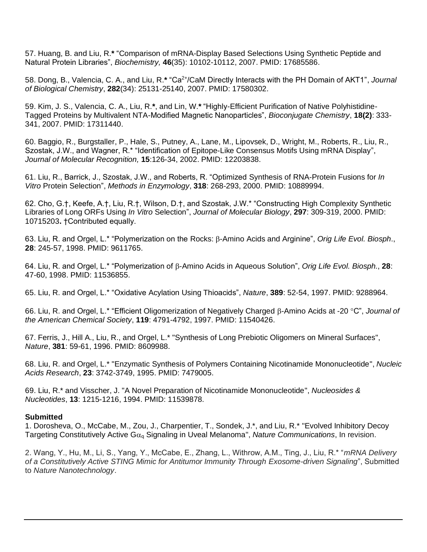57. Huang, B. and Liu, R.**\*** "Comparison of mRNA-Display Based Selections Using Synthetic Peptide and Natural Protein Libraries", *Biochemistry,* **46**(35): 10102-10112, 2007. PMID: 17685586.

58. Dong, B., Valencia, C. A., and Liu, R.**\*** "Ca2+/CaM Directly Interacts with the PH Domain of AKT1", *Journal of Biological Chemistry*, **282**(34): 25131-25140, 2007. PMID: 17580302.

59. Kim, J. S., Valencia, C. A., Liu, R.**\***, and Lin, W.**\*** "Highly-Efficient Purification of Native Polyhistidine-Tagged Proteins by Multivalent NTA-Modified Magnetic Nanoparticles", *Bioconjugate Chemistry*, **18(2)**: 333- 341, 2007. PMID: 17311440.

60. Baggio, R., Burgstaller, P., Hale, S., Putney, A., Lane, M., Lipovsek, D., Wright, M., Roberts, R., Liu, R., Szostak, J.W., and Wagner, R.\* "Identification of Epitope-Like Consensus Motifs Using mRNA Display", *Journal of Molecular Recognition,* **15**:126-34, 2002. PMID: 12203838.

61. Liu, R., Barrick, J., Szostak, J.W., and Roberts, R. "Optimized Synthesis of RNA-Protein Fusions for *In Vitro* Protein Selection", *Methods in Enzymology*, **318**: 268-293, 2000. PMID: 10889994.

62. Cho, G.†, Keefe, A.†, Liu, R.†, Wilson, D.†, and Szostak, J.W.\* "Constructing High Complexity Synthetic Libraries of Long ORFs Using *In Vitro* Selection", *Journal of Molecular Biology*, **297**: 309-319, 2000. PMID: 10715203**.** †Contributed equally.

63. Liu, R. and Orgel, L.<sup>\*</sup> "Polymerization on the Rocks: β-Amino Acids and Arginine", *Orig Life Evol. Biosph.*, **28**: 245-57, 1998. PMID: 9611765.

64. Liu, R. and Orgel, L.\* "Polymerization of  $\beta$ -Amino Acids in Aqueous Solution", *Orig Life Evol. Biosph.*, 28: 47-60, 1998. PMID: 11536855.

65. Liu, R. and Orgel, L.\* "Oxidative Acylation Using Thioacids", *Nature*, **389**: 52-54, 1997. PMID: 9288964.

66. Liu, R. and Orgel, L.<sup>\*</sup> "Efficient Oligomerization of Negatively Charged B-Amino Acids at -20 °C", *Journal of the American Chemical Society*, **119**: 4791-4792, 1997. PMID: 11540426.

67. Ferris, J., Hill A., Liu, R., and Orgel, L.\* "Synthesis of Long Prebiotic Oligomers on Mineral Surfaces", *Nature*, **381**: 59-61, 1996. PMID: 8609988.

68. Liu, R. and Orgel, L.\* "Enzymatic Synthesis of Polymers Containing Nicotinamide Mononucleotide", *Nucleic Acids Research*, **23**: 3742-3749, 1995. PMID: 7479005.

69. Liu, R.\* and Visscher, J. "A Novel Preparation of Nicotinamide Mononucleotide", *Nucleosides & Nucleotides*, **13**: 1215-1216, 1994. PMID: 11539878.

#### **Submitted**

1. Dorosheva, O., McCabe, M., Zou, J., Charpentier, T., Sondek, J.\*, and Liu, R.\* "Evolved Inhibitory Decoy Targeting Constitutively Active G<sub>ag</sub> Signaling in Uveal Melanoma", *Nature Communications*, In revision.

2. Wang, Y., Hu, M., Li, S., Yang, Y., McCabe, E., Zhang, L., Withrow, A.M., Ting, J., Liu, R.\* "*mRNA Delivery of a Constitutively Active STING Mimic for Antitumor Immunity Through Exosome-driven Signaling*", Submitted to *Nature Nanotechnology*.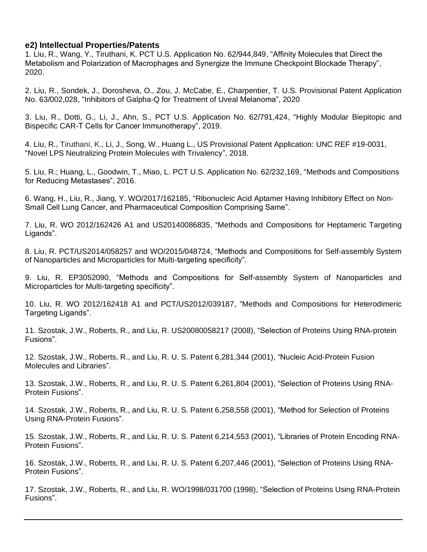### **e2) Intellectual Properties/Patents**

1. Liu, R., Wang, Y., Tiruthani, K. PCT U.S. Application No. 62/944,849, "Affinity Molecules that Direct the Metabolism and Polarization of Macrophages and Synergize the Immune Checkpoint Blockade Therapy", 2020.

2. Liu, R., Sondek, J., Dorosheva, O., Zou, J. McCabe, E., Charpentier, T. U.S. Provisional Patent Application No. 63/002,028, "Inhibitors of Galpha-Q for Treatment of Uveal Melanoma", 2020

3. Liu, R., Dotti, G., Li, J., Ahn, S., PCT U.S. Application No. 62/791,424, "Highly Modular Biepitopic and Bispecific CAR-T Cells for Cancer Immunotherapy", 2019.

4. Liu, R., Tiruthani, K., Li, J., Song, W., Huang L., US Provisional Patent Application: UNC REF #19-0031, "Novel LPS Neutralizing Protein Molecules with Trivalency", 2018.

5. Liu, R.; Huang, L., Goodwin, T., Miao, L. PCT U.S. Application No. 62/232,169, "Methods and Compositions for Reducing Metastases", 2016.

6. Wang, H., Liu, R., Jiang, Y. WO/2017/162185, "Ribonucleic Acid Aptamer Having Inhibitory Effect on Non-Small Cell Lung Cancer, and Pharmaceutical Composition Comprising Same".

7. Liu, R. WO 2012/162426 A1 and US20140086835, "Methods and Compositions for Heptameric Targeting Ligands".

8. Liu, R. PCT/US2014/058257 and WO/2015/048724, "Methods and Compositions for Self-assembly System of Nanoparticles and Microparticles for Multi-targeting specificity".

9. Liu, R. EP3052090, "Methods and Compositions for Self-assembly System of Nanoparticles and Microparticles for Multi-targeting specificity".

10. Liu, R. WO 2012/162418 A1 and PCT/US2012/039187, "Methods and Compositions for Heterodimeric Targeting Ligands".

11. Szostak, J.W., Roberts, R., and Liu, R. US20080058217 (2008), "Selection of Proteins Using RNA-protein Fusions".

12. Szostak, J.W., Roberts, R., and Liu, R. U. S. Patent 6,281,344 (2001), "Nucleic Acid-Protein Fusion Molecules and Libraries".

13. Szostak, J.W., Roberts, R., and Liu, R. U. S. Patent 6,261,804 (2001), "Selection of Proteins Using RNA-Protein Fusions".

14. Szostak, J.W., Roberts, R., and Liu, R. U. S. Patent 6,258,558 (2001), "Method for Selection of Proteins Using RNA-Protein Fusions".

15. Szostak, J.W., Roberts, R., and Liu, R. U. S. Patent 6,214,553 (2001), "Libraries of Protein Encoding RNA-Protein Fusions".

16. Szostak, J.W., Roberts, R., and Liu, R. U. S. Patent 6,207,446 (2001), "Selection of Proteins Using RNA-Protein Fusions".

17. Szostak, J.W., Roberts, R., and Liu, R. WO/1998/031700 (1998), "Selection of Proteins Using RNA-Protein Fusions".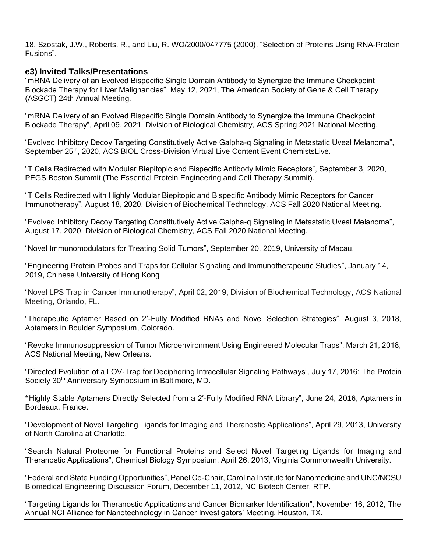18. Szostak, J.W., Roberts, R., and Liu, R. WO/2000/047775 (2000), "Selection of Proteins Using RNA-Protein Fusions".

### **e3) Invited Talks/Presentations**

"mRNA Delivery of an Evolved Bispecific Single Domain Antibody to Synergize the Immune Checkpoint Blockade Therapy for Liver Malignancies", May 12, 2021, The American Society of Gene & Cell Therapy (ASGCT) 24th Annual Meeting.

"mRNA Delivery of an Evolved Bispecific Single Domain Antibody to Synergize the Immune Checkpoint Blockade Therapy", April 09, 2021, Division of Biological Chemistry, ACS Spring 2021 National Meeting.

"Evolved Inhibitory Decoy Targeting Constitutively Active Galpha-q Signaling in Metastatic Uveal Melanoma", September 25<sup>th</sup>, 2020, ACS BIOL Cross-Division Virtual Live Content Event ChemistsLive.

"T Cells Redirected with Modular Biepitopic and Bispecific Antibody Mimic Receptors", September 3, 2020, PEGS Boston Summit (The Essential Protein Engineering and Cell Therapy Summit).

"T Cells Redirected with Highly Modular Biepitopic and Bispecific Antibody Mimic Receptors for Cancer Immunotherapy", August 18, 2020, Division of Biochemical Technology, ACS Fall 2020 National Meeting.

"Evolved Inhibitory Decoy Targeting Constitutively Active Galpha-q Signaling in Metastatic Uveal Melanoma", August 17, 2020, Division of Biological Chemistry, ACS Fall 2020 National Meeting.

"Novel Immunomodulators for Treating Solid Tumors", September 20, 2019, University of Macau.

"Engineering Protein Probes and Traps for Cellular Signaling and Immunotherapeutic Studies", January 14, 2019, Chinese University of Hong Kong

"Novel LPS Trap in Cancer Immunotherapy", April 02, 2019, Division of Biochemical Technology, ACS National Meeting, Orlando, FL.

"Therapeutic Aptamer Based on 2'-Fully Modified RNAs and Novel Selection Strategies", August 3, 2018, Aptamers in Boulder Symposium, Colorado.

"Revoke Immunosuppression of Tumor Microenvironment Using Engineered Molecular Traps", March 21, 2018, ACS National Meeting, New Orleans.

"Directed Evolution of a LOV-Trap for Deciphering Intracellular Signaling Pathways", July 17, 2016; The Protein Society 30<sup>th</sup> Anniversary Symposium in Baltimore, MD.

**"**Highly Stable Aptamers Directly Selected from a 2′-Fully Modified RNA Library", June 24, 2016, Aptamers in Bordeaux, France.

"Development of Novel Targeting Ligands for Imaging and Theranostic Applications", April 29, 2013, University of North Carolina at Charlotte.

"Search Natural Proteome for Functional Proteins and Select Novel Targeting Ligands for Imaging and Theranostic Applications", Chemical Biology Symposium, April 26, 2013, Virginia Commonwealth University.

"Federal and State Funding Opportunities", Panel Co-Chair, Carolina Institute for Nanomedicine and UNC/NCSU Biomedical Engineering Discussion Forum, December 11, 2012, NC Biotech Center, RTP.

"Targeting Ligands for Theranostic Applications and Cancer Biomarker Identification", November 16, 2012, The Annual NCI Alliance for Nanotechnology in Cancer Investigators' Meeting, Houston, TX.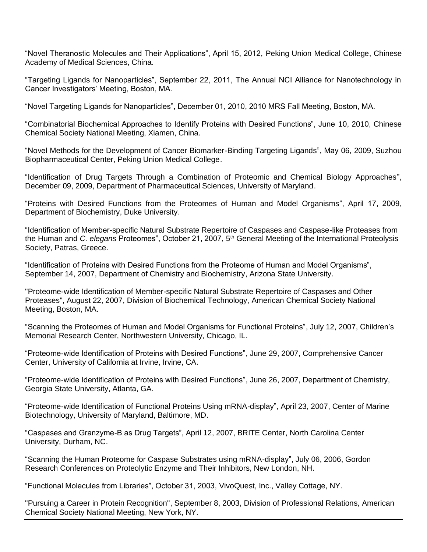"Novel Theranostic Molecules and Their Applications", April 15, 2012, Peking Union Medical College, Chinese Academy of Medical Sciences, China.

"Targeting Ligands for Nanoparticles", September 22, 2011, The Annual NCI Alliance for Nanotechnology in Cancer Investigators' Meeting, Boston, MA.

"Novel Targeting Ligands for Nanoparticles", December 01, 2010, 2010 MRS Fall Meeting, Boston, MA.

"Combinatorial Biochemical Approaches to Identify Proteins with Desired Functions", June 10, 2010, Chinese Chemical Society National Meeting, Xiamen, China.

"Novel Methods for the Development of Cancer Biomarker-Binding Targeting Ligands", May 06, 2009, Suzhou Biopharmaceutical Center, Peking Union Medical College.

"Identification of Drug Targets Through a Combination of Proteomic and Chemical Biology Approaches", December 09, 2009, Department of Pharmaceutical Sciences, University of Maryland.

"Proteins with Desired Functions from the Proteomes of Human and Model Organisms", April 17, 2009, Department of Biochemistry, Duke University.

"Identification of Member-specific Natural Substrate Repertoire of Caspases and Caspase-like Proteases from the Human and *C. elegans* Proteomes", October 21, 2007, 5<sup>th</sup> General Meeting of the International Proteolysis Society, Patras, Greece.

"Identification of Proteins with Desired Functions from the Proteome of Human and Model Organisms", September 14, 2007, Department of Chemistry and Biochemistry, Arizona State University.

"Proteome-wide Identification of Member-specific Natural Substrate Repertoire of Caspases and Other Proteases", August 22, 2007, Division of Biochemical Technology, American Chemical Society National Meeting, Boston, MA.

"Scanning the Proteomes of Human and Model Organisms for Functional Proteins", July 12, 2007, Children's Memorial Research Center, Northwestern University, Chicago, IL.

"Proteome-wide Identification of Proteins with Desired Functions", June 29, 2007, Comprehensive Cancer Center, University of California at Irvine, Irvine, CA.

"Proteome-wide Identification of Proteins with Desired Functions", June 26, 2007, Department of Chemistry, Georgia State University, Atlanta, GA.

"Proteome-wide Identification of Functional Proteins Using mRNA-display", April 23, 2007, Center of Marine Biotechnology, University of Maryland, Baltimore, MD.

"Caspases and Granzyme-B as Drug Targets", April 12, 2007, BRITE Center, North Carolina Center University, Durham, NC.

"Scanning the Human Proteome for Caspase Substrates using mRNA-display", July 06, 2006, Gordon Research Conferences on Proteolytic Enzyme and Their Inhibitors, New London, NH.

"Functional Molecules from Libraries", October 31, 2003, VivoQuest, Inc., Valley Cottage, NY.

"Pursuing a Career in Protein Recognition", September 8, 2003, Division of Professional Relations, American Chemical Society National Meeting, New York, NY.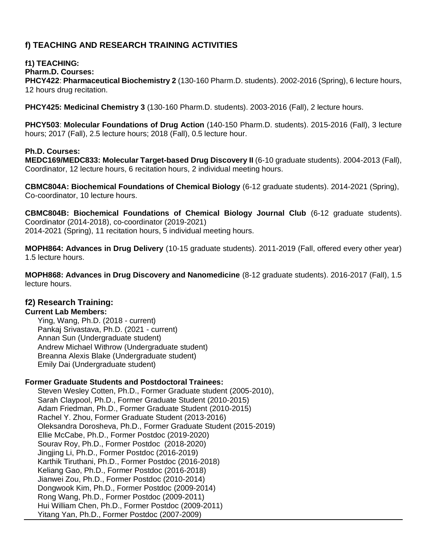## **f) TEACHING AND RESEARCH TRAINING ACTIVITIES**

## **f1) TEACHING:**

**Pharm.D. Courses:**

**PHCY422**: **Pharmaceutical Biochemistry 2** (130-160 Pharm.D. students). 2002-2016 (Spring), 6 lecture hours, 12 hours drug recitation.

**PHCY425: Medicinal Chemistry 3** (130-160 Pharm.D. students). 2003-2016 (Fall), 2 lecture hours.

**PHCY503**: **Molecular Foundations of Drug Action** (140-150 Pharm.D. students). 2015-2016 (Fall), 3 lecture hours; 2017 (Fall), 2.5 lecture hours; 2018 (Fall), 0.5 lecture hour.

#### **Ph.D. Courses:**

**MEDC169/MEDC833: Molecular Target-based Drug Discovery II** (6-10 graduate students). 2004-2013 (Fall), Coordinator, 12 lecture hours, 6 recitation hours, 2 individual meeting hours.

**CBMC804A: Biochemical Foundations of Chemical Biology** (6-12 graduate students). 2014-2021 (Spring), Co-coordinator, 10 lecture hours.

**CBMC804B: Biochemical Foundations of Chemical Biology Journal Club** (6-12 graduate students). Coordinator (2014-2018), co-coordinator (2019-2021) 2014-2021 (Spring), 11 recitation hours, 5 individual meeting hours.

**MOPH864: Advances in Drug Delivery** (10-15 graduate students). 2011-2019 (Fall, offered every other year) 1.5 lecture hours.

**MOPH868: Advances in Drug Discovery and Nanomedicine** (8-12 graduate students). 2016-2017 (Fall), 1.5 lecture hours.

## **f2) Research Training:**

#### **Current Lab Members:**

Ying, Wang, Ph.D. (2018 - current) Pankaj Srivastava, Ph.D. (2021 - current) Annan Sun (Undergraduate student) Andrew Michael Withrow (Undergraduate student) Breanna Alexis Blake (Undergraduate student) Emily Dai (Undergraduate student)

#### **Former Graduate Students and Postdoctoral Trainees:**

Steven Wesley Cotten, Ph.D., Former Graduate student (2005-2010), Sarah Claypool, Ph.D., Former Graduate Student (2010-2015) Adam Friedman, Ph.D., Former Graduate Student (2010-2015) Rachel Y. Zhou, Former Graduate Student (2013-2016) Oleksandra Dorosheva, Ph.D., Former Graduate Student (2015-2019) Ellie McCabe, Ph.D., Former Postdoc (2019-2020) Sourav Roy, Ph.D., Former Postdoc (2018-2020) Jingjing Li, Ph.D., Former Postdoc (2016-2019) Karthik Tiruthani, Ph.D., Former Postdoc (2016-2018) Keliang Gao, Ph.D., Former Postdoc (2016-2018) Jianwei Zou, Ph.D., Former Postdoc (2010-2014) Dongwook Kim, Ph.D., Former Postdoc (2009-2014) Rong Wang, Ph.D., Former Postdoc (2009-2011) Hui William Chen, Ph.D., Former Postdoc (2009-2011) Yitang Yan, Ph.D., Former Postdoc (2007-2009)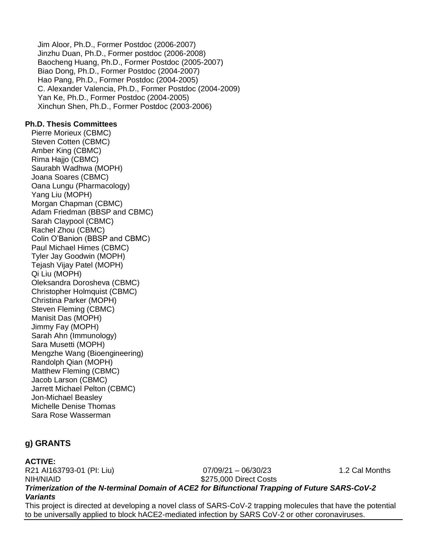Jim Aloor, Ph.D., Former Postdoc (2006-2007) Jinzhu Duan, Ph.D., Former postdoc (2006-2008) Baocheng Huang, Ph.D., Former Postdoc (2005-2007) Biao Dong, Ph.D., Former Postdoc (2004-2007) Hao Pang, Ph.D., Former Postdoc (2004-2005) C. Alexander Valencia, Ph.D., Former Postdoc (2004-2009) Yan Ke, Ph.D., Former Postdoc (2004-2005) Xinchun Shen, Ph.D., Former Postdoc (2003-2006)

#### **Ph.D. Thesis Committees**

Pierre Morieux (CBMC) Steven Cotten (CBMC) Amber King (CBMC) Rima Hajjo (CBMC) Saurabh Wadhwa (MOPH) Joana Soares (CBMC) Oana Lungu (Pharmacology) Yang Liu (MOPH) Morgan Chapman (CBMC) Adam Friedman (BBSP and CBMC) Sarah Claypool (CBMC) Rachel Zhou (CBMC) Colin O'Banion (BBSP and CBMC) Paul Michael Himes (CBMC) Tyler Jay Goodwin (MOPH) Tejash Vijay Patel (MOPH) Qi Liu (MOPH) Oleksandra Dorosheva (CBMC) Christopher Holmquist (CBMC) Christina Parker (MOPH) Steven Fleming (CBMC) Manisit Das (MOPH) Jimmy Fay (MOPH) Sarah Ahn (Immunology) Sara Musetti (MOPH) Mengzhe Wang (Bioengineering) Randolph Qian (MOPH) Matthew Fleming (CBMC) Jacob Larson (CBMC) Jarrett Michael Pelton (CBMC) Jon-Michael Beasley Michelle Denise Thomas Sara Rose Wasserman

## **g) GRANTS**

#### **ACTIVE:**

R21 AI163793-01 (PI: Liu) 07/09/21 – 06/30/23 1.2 Cal Months NIH/NIAID \$275,000 Direct Costs

### *Trimerization of the N-terminal Domain of ACE2 for Bifunctional Trapping of Future SARS-CoV-2 Variants*

This project is directed at developing a novel class of SARS-CoV-2 trapping molecules that have the potential to be universally applied to block hACE2-mediated infection by SARS CoV-2 or other coronaviruses.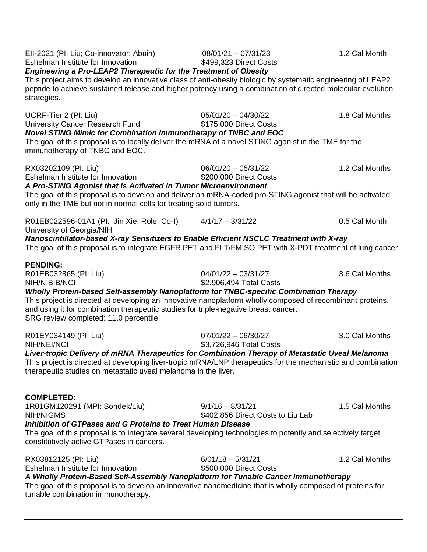| EII-2021 (PI: Liu; Co-innovator: Abuin)<br>Eshelman Institute for Innovation<br><b>Engineering a Pro-LEAP2 Therapeutic for the Treatment of Obesity</b><br>This project aims to develop an innovative class of anti-obesity biologic by systematic engineering of LEAP2<br>peptide to achieve sustained release and higher potency using a combination of directed molecular evolution<br>strategies. | $08/01/21 - 07/31/23$<br>\$499,323 Direct Costs         | 1.2 Cal Month  |
|-------------------------------------------------------------------------------------------------------------------------------------------------------------------------------------------------------------------------------------------------------------------------------------------------------------------------------------------------------------------------------------------------------|---------------------------------------------------------|----------------|
| UCRF-Tier 2 (PI: Liu)<br>University Cancer Research Fund<br>Novel STING Mimic for Combination Immunotherapy of TNBC and EOC<br>The goal of this proposal is to locally deliver the mRNA of a novel STING agonist in the TME for the<br>immunotherapy of TNBC and EOC.                                                                                                                                 | $05/01/20 - 04/30/22$<br>\$175,000 Direct Costs         | 1.8 Cal Months |
| RX03202109 (PI: Liu)<br>Eshelman Institute for Innovation<br>A Pro-STING Agonist that is Activated in Tumor Microenvironment<br>The goal of this proposal is to develop and deliver an mRNA-coded pro-STING agonist that will be activated<br>only in the TME but not in normal cells for treating solid tumors.                                                                                      | $06/01/20 - 05/31/22$<br>\$200,000 Direct Costs         | 1.2 Cal Months |
| R01EB022596-01A1 (PI: Jin Xie; Role: Co-I)<br>University of Georgia/NIH<br>Nanoscintillator-based X-ray Sensitizers to Enable Efficient NSCLC Treatment with X-ray<br>The goal of this proposal is to integrate EGFR PET and FLT/FMISO PET with X-PDT treatment of lung cancer.                                                                                                                       | $4/1/17 - 3/31/22$                                      | 0.5 Cal Month  |
| <b>PENDING:</b><br>R01EB032865 (PI: Liu)<br>NIH/NIBIB/NCI<br>Wholly Protein-based Self-assembly Nanoplatform for TNBC-specific Combination Therapy<br>This project is directed at developing an innovative nanoplatform wholly composed of recombinant proteins,<br>and using it for combination therapeutic studies for triple-negative breast cancer.<br>SRG review completed: 11.0 percentile      | $04/01/22 - 03/31/27$<br>\$2,906,494 Total Costs        | 3.6 Cal Months |
| R01EY034149 (PI: Liu)<br>NIH/NEI/NCI<br>Liver-tropic Delivery of mRNA Therapeutics for Combination Therapy of Metastatic Uveal Melanoma<br>This project is directed at developing liver-tropic mRNA/LNP therapeutics for the mechanistic and combination<br>therapeutic studies on metastatic uveal melanoma in the liver.                                                                            | $07/01/22 - 06/30/27$<br>\$3,726,946 Total Costs        | 3.0 Cal Months |
| <b>COMPLETED:</b><br>1R01GM120291 (MPI: Sondek/Liu)<br><b>NIH/NIGMS</b><br><b>Inhibition of GTPases and G Proteins to Treat Human Disease</b><br>The goal of this proposal is to integrate several developing technologies to potently and selectively target<br>constitutively active GTPases in cancers.                                                                                            | $9/1/16 - 8/31/21$<br>\$402,856 Direct Costs to Liu Lab | 1.5 Cal Months |
| RX03812125 (PI: Liu)<br>Eshelman Institute for Innovation<br>A Wholly Protein-Based Self-Assembly Nanoplatform for Tunable Cancer Immunotherapy<br>The goal of this proposal is to develop an innovative nanomedicine that is wholly composed of proteins for<br>tunable combination immunotherapy.                                                                                                   | $6/01/18 - 5/31/21$<br>\$500,000 Direct Costs           | 1.2 Cal Months |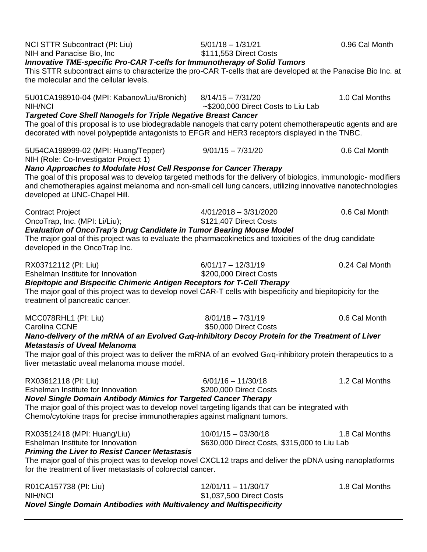| NCI STTR Subcontract (PI: Liu)<br>NIH and Panacise Bio, Inc<br><b>Innovative TME-specific Pro-CAR T-cells for Immunotherapy of Solid Tumors</b><br>This STTR subcontract aims to characterize the pro-CAR T-cells that are developed at the Panacise Bio Inc. at                                                                   | $5/01/18 - 1/31/21$<br>\$111,553 Direct Costs                         | 0.96 Cal Month |
|------------------------------------------------------------------------------------------------------------------------------------------------------------------------------------------------------------------------------------------------------------------------------------------------------------------------------------|-----------------------------------------------------------------------|----------------|
| the molecular and the cellular levels.                                                                                                                                                                                                                                                                                             |                                                                       |                |
| 5U01CA198910-04 (MPI: Kabanov/Liu/Bronich)<br>NIH/NCI                                                                                                                                                                                                                                                                              | $8/14/15 - 7/31/20$<br>~\$200,000 Direct Costs to Liu Lab             | 1.0 Cal Months |
| <b>Targeted Core Shell Nanogels for Triple Negative Breast Cancer</b><br>The goal of this proposal is to use biodegradable nanogels that carry potent chemotherapeutic agents and are<br>decorated with novel polypeptide antagonists to EFGR and HER3 receptors displayed in the TNBC.                                            |                                                                       |                |
| 5U54CA198999-02 (MPI: Huang/Tepper)<br>NIH (Role: Co-Investigator Project 1)                                                                                                                                                                                                                                                       | $9/01/15 - 7/31/20$                                                   | 0.6 Cal Month  |
| Nano Approaches to Modulate Host Cell Response for Cancer Therapy<br>The goal of this proposal was to develop targeted methods for the delivery of biologics, immunologic-modifiers<br>and chemotherapies against melanoma and non-small cell lung cancers, utilizing innovative nanotechnologies<br>developed at UNC-Chapel Hill. |                                                                       |                |
| <b>Contract Project</b><br>OncoTrap, Inc. (MPI: Li/Liu);                                                                                                                                                                                                                                                                           | $4/01/2018 - 3/31/2020$<br>\$121,407 Direct Costs                     | 0.6 Cal Month  |
| Evaluation of OncoTrap's Drug Candidate in Tumor Bearing Mouse Model<br>The major goal of this project was to evaluate the pharmacokinetics and toxicities of the drug candidate<br>developed in the OncoTrap Inc.                                                                                                                 |                                                                       |                |
| RX03712112 (PI: Liu)<br>Eshelman Institute for Innovation<br><b>Biepitopic and Bispecific Chimeric Antigen Receptors for T-Cell Therapy</b><br>The major goal of this project was to develop novel CAR-T cells with bispecificity and biepitopicity for the<br>treatment of pancreatic cancer.                                     | $6/01/17 - 12/31/19$<br>\$200,000 Direct Costs                        | 0.24 Cal Month |
| MCC078RHL1 (PI: Liu)<br>Carolina CCNE                                                                                                                                                                                                                                                                                              | $8/01/18 - 7/31/19$<br>\$50,000 Direct Costs                          | 0.6 Cal Month  |
| Nano-delivery of the mRNA of an Evolved G $\alpha$ q-inhibitory Decoy Protein for the Treatment of Liver                                                                                                                                                                                                                           |                                                                       |                |
| <b>Metastasis of Uveal Melanoma</b><br>The major goal of this project was to deliver the mRNA of an evolved $Gaq$ -inhibitory protein therapeutics to a<br>liver metastatic uveal melanoma mouse model.                                                                                                                            |                                                                       |                |
| RX03612118 (PI: Liu)<br>Eshelman Institute for Innovation<br><b>Novel Single Domain Antibody Mimics for Targeted Cancer Therapy</b>                                                                                                                                                                                                | $6/01/16 - 11/30/18$<br>\$200,000 Direct Costs                        | 1.2 Cal Months |
| The major goal of this project was to develop novel targeting ligands that can be integrated with<br>Chemo/cytokine traps for precise immunotherapies against malignant tumors.                                                                                                                                                    |                                                                       |                |
| RX03512418 (MPI: Huang/Liu)<br>Eshelman Institute for Innovation<br><b>Priming the Liver to Resist Cancer Metastasis</b>                                                                                                                                                                                                           | $10/01/15 - 03/30/18$<br>\$630,000 Direct Costs, \$315,000 to Liu Lab | 1.8 Cal Months |
| The major goal of this project was to develop novel CXCL12 traps and deliver the pDNA using nanoplatforms<br>for the treatment of liver metastasis of colorectal cancer.                                                                                                                                                           |                                                                       |                |
| R01CA157738 (PI: Liu)<br><b>NIH/NCI</b><br><b>Novel Single Domain Antibodies with Multivalency and Multispecificity</b>                                                                                                                                                                                                            | $12/01/11 - 11/30/17$<br>\$1,037,500 Direct Costs                     | 1.8 Cal Months |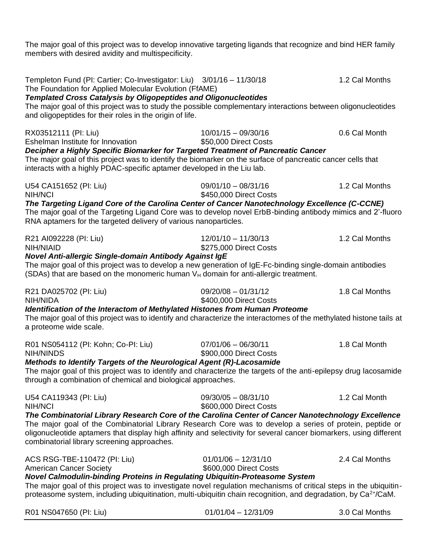The major goal of this project was to develop innovative targeting ligands that recognize and bind HER family members with desired avidity and multispecificity.

| Templeton Fund (PI: Cartier; Co-Investigator: Liu) 3/01/16 - 11/30/18<br>The Foundation for Applied Molecular Evolution (FfAME)<br><b>Templated Cross Catalysis by Oligopeptides and Oligonucleotides</b><br>The major goal of this project was to study the possible complementary interactions between oligonucleotides<br>and oligopeptides for their roles in the origin of life.                                    |                                                 | 1.2 Cal Months |
|--------------------------------------------------------------------------------------------------------------------------------------------------------------------------------------------------------------------------------------------------------------------------------------------------------------------------------------------------------------------------------------------------------------------------|-------------------------------------------------|----------------|
| RX03512111 (PI: Liu)<br>Eshelman Institute for Innovation<br>Decipher a Highly Specific Biomarker for Targeted Treatment of Pancreatic Cancer<br>The major goal of this project was to identify the biomarker on the surface of pancreatic cancer cells that<br>interacts with a highly PDAC-specific aptamer developed in the Liu lab.                                                                                  | $10/01/15 - 09/30/16$<br>\$50,000 Direct Costs  | 0.6 Cal Month  |
| U54 CA151652 (PI: Liu)<br>NIH/NCI<br>The Targeting Ligand Core of the Carolina Center of Cancer Nanotechnology Excellence (C-CCNE)<br>The major goal of the Targeting Ligand Core was to develop novel ErbB-binding antibody mimics and 2'-fluoro<br>RNA aptamers for the targeted delivery of various nanoparticles.                                                                                                    | $09/01/10 - 08/31/16$<br>\$450,000 Direct Costs | 1.2 Cal Months |
| R21 AI092228 (PI: Liu)<br>NIH/NIAID<br>Novel Anti-allergic Single-domain Antibody Against IgE<br>The major goal of this project was to develop a new generation of IgE-Fc-binding single-domain antibodies<br>(SDAs) that are based on the monomeric human $V_H$ domain for anti-allergic treatment.                                                                                                                     | $12/01/10 - 11/30/13$<br>\$275,000 Direct Costs | 1.2 Cal Months |
| R21 DA025702 (PI: Liu)<br>NIH/NIDA<br>Identification of the Interactom of Methylated Histones from Human Proteome<br>The major goal of this project was to identify and characterize the interactomes of the methylated histone tails at<br>a proteome wide scale.                                                                                                                                                       | $09/20/08 - 01/31/12$<br>\$400,000 Direct Costs | 1.8 Cal Months |
| R01 NS054112 (PI: Kohn; Co-PI: Liu)<br><b>NIH/NINDS</b><br>Methods to Identify Targets of the Neurological Agent (R)-Lacosamide<br>The major goal of this project was to identify and characterize the targets of the anti-epilepsy drug lacosamide<br>through a combination of chemical and biological approaches.                                                                                                      | $07/01/06 - 06/30/11$<br>\$900,000 Direct Costs | 1.8 Cal Month  |
| U54 CA119343 (PI: Liu)<br>NIH/NCI<br>The Combinatorial Library Research Core of the Carolina Center of Cancer Nanotechnology Excellence<br>The major goal of the Combinatorial Library Research Core was to develop a series of protein, peptide or<br>oligonucleotide aptamers that display high affinity and selectivity for several cancer biomarkers, using different<br>combinatorial library screening approaches. | $09/30/05 - 08/31/10$<br>\$600,000 Direct Costs | 1.2 Cal Month  |
| ACS RSG-TBE-110472 (PI: Liu)<br><b>American Cancer Society</b><br>Novel Calmodulin-binding Proteins in Regulating Ubiquitin-Proteasome System<br>The major goal of this project was to investigate novel regulation mechanisms of critical steps in the ubiquitin-<br>proteasome system, including ubiquitination, multi-ubiquitin chain recognition, and degradation, by $Ca2+/CaM$ .                                   | $01/01/06 - 12/31/10$<br>\$600,000 Direct Costs | 2.4 Cal Months |
|                                                                                                                                                                                                                                                                                                                                                                                                                          |                                                 |                |

| R01 NS047650 (PI: Liu) | $01/01/04 - 12/31/09$ | 3.0 Cal Months |
|------------------------|-----------------------|----------------|
|------------------------|-----------------------|----------------|